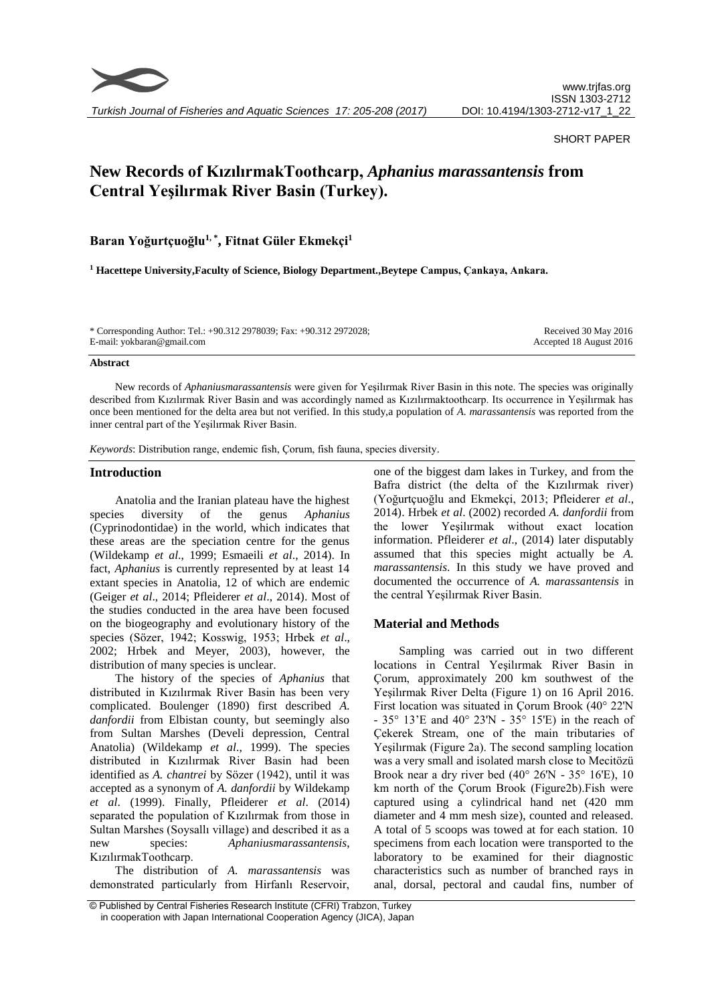

*Turkish Journal of Fisheries and Aquatic Sciences 17: 205-208 (2017)*

#### SHORT PAPER

# **New Records of KızılırmakToothcarp,** *Aphanius marassantensis* **from Central Yeşilırmak River Basin (Turkey).**

**Baran Yoğurtçuoğlu1, \* , Fitnat Güler Ekmekçi<sup>1</sup>**

**<sup>1</sup> Hacettepe University,Faculty of Science, Biology Department.,Beytepe Campus, Çankaya, Ankara.**

\* Corresponding Author: Tel.: +90.312 2978039; Fax: +90.312 2972028; E-mail: yokbaran@gmail.com

Received 30 May 2016 Accepted 18 August 2016

#### **Abstract**

New records of *Aphaniusmarassantensis* were given for Yeşilırmak River Basin in this note. The species was originally described from Kızılırmak River Basin and was accordingly named as Kızılırmaktoothcarp. Its occurrence in Yeşilırmak has once been mentioned for the delta area but not verified. In this study,a population of *A. marassantensis* was reported from the inner central part of the Yeşilırmak River Basin.

*Keywords*: Distribution range, endemic fish, Çorum, fish fauna, species diversity.

### **Introduction**

Anatolia and the Iranian plateau have the highest species diversity of the genus *Aphanius* (Cyprinodontidae) in the world, which indicates that these areas are the speciation centre for the genus (Wildekamp *et al*., 1999; Esmaeili *et al*., 2014). In fact, *Aphanius* is currently represented by at least 14 extant species in Anatolia, 12 of which are endemic (Geiger *et al*., 2014; Pfleiderer *et al*., 2014). Most of the studies conducted in the area have been focused on the biogeography and evolutionary history of the species (Sözer, 1942; Kosswig, 1953; Hrbek *et al*., 2002; Hrbek and Meyer, 2003), however, the distribution of many species is unclear.

The history of the species of *Aphanius* that distributed in Kızılırmak River Basin has been very complicated. Boulenger (1890) first described *A. danfordii* from Elbistan county, but seemingly also from Sultan Marshes (Develi depression, Central Anatolia) (Wildekamp *et al*., 1999). The species distributed in Kızılırmak River Basin had been identified as *A. chantrei* by Sözer (1942), until it was accepted as a synonym of *A. danfordii* by Wildekamp *et al*. (1999). Finally, Pfleiderer *et al*. (2014) separated the population of Kızılırmak from those in Sultan Marshes (Soysallı village) and described it as a new species: *Aphaniusmarassantensis*, KızılırmakToothcarp.

The distribution of *A. marassantensis* was demonstrated particularly from Hirfanlı Reservoir,

one of the biggest dam lakes in Turkey, and from the Bafra district (the delta of the Kızılırmak river) (Yoğurtçuoğlu and Ekmekçi, 2013; Pfleiderer *et al*., 2014). Hrbek *et al*. (2002) recorded *A. danfordii* from the lower Yeşilırmak without exact location information. Pfleiderer *et al*., (2014) later disputably assumed that this species might actually be *A. marassantensis*. In this study we have proved and documented the occurrence of *A. marassantensis* in the central Yeşilırmak River Basin.

## **Material and Methods**

Sampling was carried out in two different locations in Central Yeşilırmak River Basin in Çorum, approximately 200 km southwest of the Yeşilırmak River Delta (Figure 1) on 16 April 2016. First location was situated in Çorum Brook (40° 22'N - 35° 13'E and 40° 23'N - 35° 15'E) in the reach of Çekerek Stream, one of the main tributaries of Yeşilırmak (Figure 2a). The second sampling location was a very small and isolated marsh close to Mecitözü Brook near a dry river bed (40° 26'N - 35° 16'E), 10 km north of the Çorum Brook (Figure2b).Fish were captured using a cylindrical hand net (420 mm diameter and 4 mm mesh size), counted and released. A total of 5 scoops was towed at for each station. 10 specimens from each location were transported to the laboratory to be examined for their diagnostic characteristics such as number of branched rays in anal, dorsal, pectoral and caudal fins, number of

<sup>©</sup> Published by Central Fisheries Research Institute (CFRI) Trabzon, Turkey in cooperation with Japan International Cooperation Agency (JICA), Japan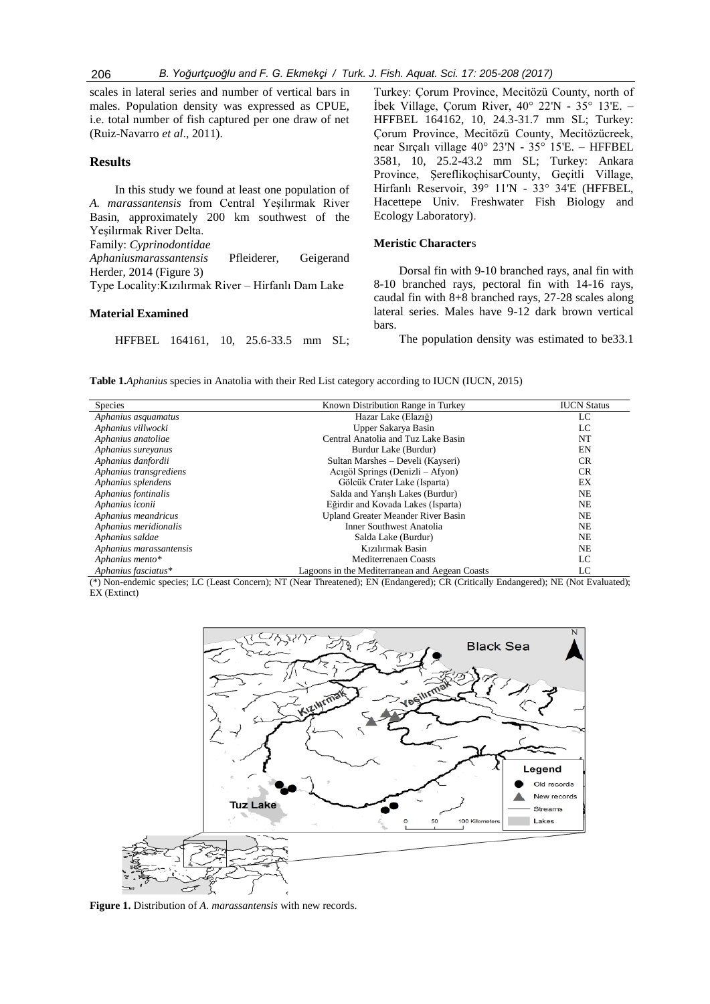scales in lateral series and number of vertical bars in males. Population density was expressed as CPUE, i.e. total number of fish captured per one draw of net (Ruiz-Navarro *et al*., 2011).

## **Results**

In this study we found at least one population of *A. marassantensis* from Central Yeşilırmak River Basin, approximately 200 km southwest of the Yeşilırmak River Delta. Family: *Cyprinodontidae Aphaniusmarassantensis* Pfleiderer, Geigerand Herder, 2014 (Figure 3) Type Locality:Kızılırmak River – Hirfanlı Dam Lake

#### **Material Examined**

HFFBEL 164161, 10, 25.6-33.5 mm SL;

Turkey: Çorum Province, Mecitözü County, north of İbek Village, Çorum River, 40° 22'N - 35° 13'E. – HFFBEL 164162, 10, 24.3-31.7 mm SL; Turkey: Çorum Province, Mecitözü County, Mecitözücreek, near Sırçalı village 40° 23'N - 35° 15'E. – HFFBEL 3581, 10, 25.2-43.2 mm SL; Turkey: Ankara Province, ŞereflikoçhisarCounty, Geçitli Village, Hirfanlı Reservoir, 39° 11'N - 33° 34'E (HFFBEL, Hacettepe Univ. Freshwater Fish Biology and Ecology Laboratory).

#### **Meristic Character**s

Dorsal fin with 9-10 branched rays, anal fin with 8-10 branched rays, pectoral fin with 14-16 rays, caudal fin with 8+8 branched rays, 27-28 scales along lateral series. Males have 9-12 dark brown vertical bars.

The population density was estimated to be33.1

**Table 1.***Aphanius* species in Anatolia with their Red List category according to IUCN (IUCN, 2015)

| Species                 | Known Distribution Range in Turkey             | <b>IUCN Status</b> |
|-------------------------|------------------------------------------------|--------------------|
| Aphanius asquamatus     | Hazar Lake (Elazığ)                            | LC                 |
| Aphanius villwocki      | Upper Sakarya Basin                            | LC                 |
| Aphanius anatoliae      | Central Anatolia and Tuz Lake Basin            | NT                 |
| Aphanius surevanus      | Burdur Lake (Burdur)                           | EN                 |
| Aphanius danfordii      | Sultan Marshes – Develi (Kayseri)              | <b>CR</b>          |
| Aphanius transgrediens  | Acıgöl Springs (Denizli – Afyon)               | <b>CR</b>          |
| Aphanius splendens      | Gölcük Crater Lake (Isparta)                   | EX                 |
| Aphanius fontinalis     | Salda and Yarıslı Lakes (Burdur)               | <b>NE</b>          |
| Aphanius iconii         | Eğirdir and Kovada Lakes (Isparta)             | <b>NE</b>          |
| Aphanius meandricus     | <b>Upland Greater Meander River Basin</b>      | <b>NE</b>          |
| Aphanius meridionalis   | Inner Southwest Anatolia                       | <b>NE</b>          |
| Aphanius saldae         | Salda Lake (Burdur)                            | <b>NE</b>          |
| Aphanius marassantensis | Kızılırmak Basin                               | <b>NE</b>          |
| Aphanius mento*         | Mediterrenaen Coasts                           | LC                 |
| Aphanius fasciatus*     | Lagoons in the Mediterranean and Aegean Coasts | LC                 |

(\*) Non-endemic species; LC (Least Concern); NT (Near Threatened); EN (Endangered); CR (Critically Endangered); NE (Not Evaluated); EX (Extinct)



**Figure 1.** Distribution of *A. marassantensis* with new records.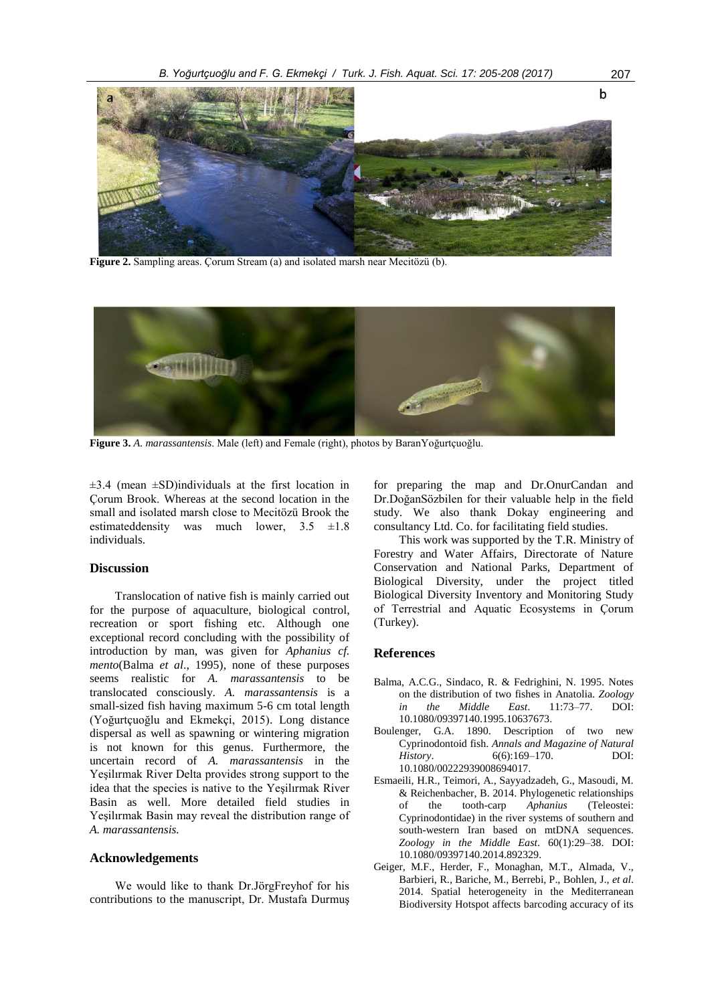

**Figure 2.** Sampling areas. Çorum Stream (a) and isolated marsh near Mecitözü (b).



**Figure 3.** *A. marassantensis*. Male (left) and Female (right), photos by BaranYoğurtçuoğlu.

 $\pm$ 3.4 (mean  $\pm$ SD)individuals at the first location in Çorum Brook. Whereas at the second location in the small and isolated marsh close to Mecitözü Brook the estimated density was much lower,  $3.5 \pm 1.8$ individuals.

## **Discussion**

Translocation of native fish is mainly carried out for the purpose of aquaculture, biological control, recreation or sport fishing etc. Although one exceptional record concluding with the possibility of introduction by man, was given for *Aphanius cf. mento*(Balma *et al*., 1995), none of these purposes seems realistic for *A. marassantensis* to be translocated consciously. *A. marassantensis* is a small-sized fish having maximum 5-6 cm total length (Yoğurtçuoğlu and Ekmekçi, 2015). Long distance dispersal as well as spawning or wintering migration is not known for this genus. Furthermore, the uncertain record of *A. marassantensis* in the Yeşilırmak River Delta provides strong support to the idea that the species is native to the Yeşilırmak River Basin as well. More detailed field studies in Yeşilırmak Basin may reveal the distribution range of *A. marassantensis.*

## **Acknowledgements**

We would like to thank Dr.JörgFreyhof for his contributions to the manuscript, Dr. Mustafa Durmuş

for preparing the map and Dr.OnurCandan and Dr.DoğanSözbilen for their valuable help in the field study. We also thank Dokay engineering and consultancy Ltd. Co. for facilitating field studies.

This work was supported by the T.R. Ministry of Forestry and Water Affairs, Directorate of Nature Conservation and National Parks, Department of Biological Diversity, under the project titled Biological Diversity Inventory and Monitoring Study of Terrestrial and Aquatic Ecosystems in Çorum (Turkey).

## **References**

- Balma, A.C.G., Sindaco, R. & Fedrighini, N. 1995. Notes on the distribution of two fishes in Anatolia. *Zoology in the Middle East.* 11:73–77. 10.1080/09397140.1995.10637673.
- Boulenger, G.A. 1890. Description of two new Cyprinodontoid fish. *Annals and Magazine of Natural History*. 6(6):169–170. DOI: 10.1080/00222939008694017.
- Esmaeili, H.R., Teimori, A., Sayyadzadeh, G., Masoudi, M. & Reichenbacher, B. 2014. Phylogenetic relationships of the tooth-carp *Aphanius* (Teleostei: Cyprinodontidae) in the river systems of southern and south-western Iran based on mtDNA sequences. *Zoology in the Middle East*. 60(1):29–38. DOI: 10.1080/09397140.2014.892329.
- Geiger, M.F., Herder, F., Monaghan, M.T., Almada, V., Barbieri, R., Bariche, M., Berrebi, P., Bohlen, J., *et al*. 2014. Spatial heterogeneity in the Mediterranean Biodiversity Hotspot affects barcoding accuracy of its